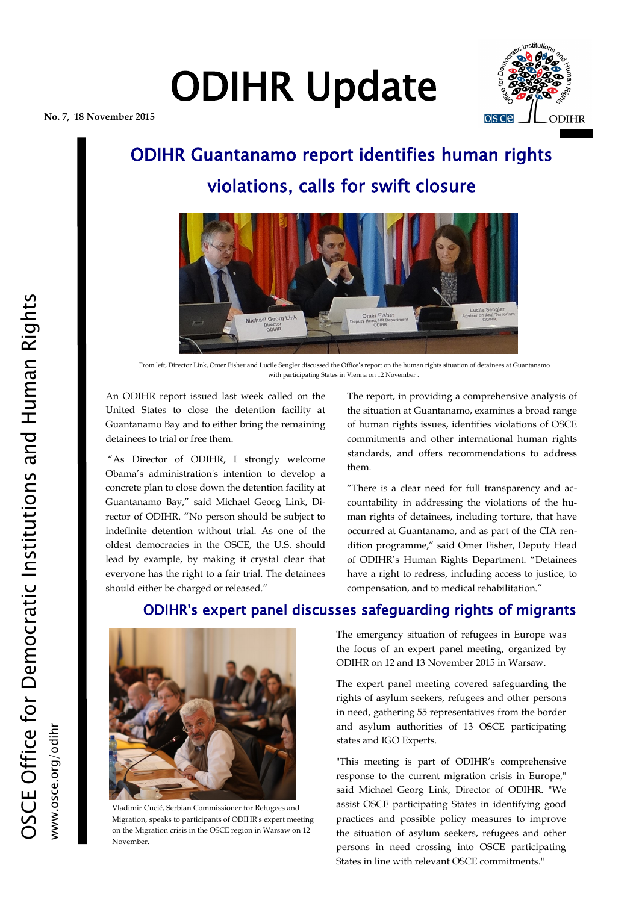# ODIHR Update

**No. 7, 18 November 2015**



### ODIHR Guantanamo report identifies human rights violations, calls for swift closure



From left, Director Link, Omer Fisher and Lucile Sengler discussed the Office's report on the human rights situation of detainees at Guantanamo with participating States in Vienna on 12 November .

An ODIHR report issued last week called on the United States to close the detention facility at Guantanamo Bay and to either bring the remaining detainees to trial or free them.

"As Director of ODIHR, I strongly welcome Obama's administration's intention to develop a concrete plan to close down the detention facility at Guantanamo Bay," said Michael Georg Link, Director of ODIHR. "No person should be subject to indefinite detention without trial. As one of the oldest democracies in the OSCE, the U.S. should lead by example, by making it crystal clear that everyone has the right to a fair trial. The detainees should either be charged or released."

The report, in providing a comprehensive analysis of the situation at Guantanamo, examines a broad range of human rights issues, identifies violations of OSCE commitments and other international human rights standards, and offers recommendations to address them.

"There is a clear need for full transparency and accountability in addressing the violations of the human rights of detainees, including torture, that have occurred at Guantanamo, and as part of the CIA rendition programme," said Omer Fisher, Deputy Head of ODIHR's Human Rights Department. "Detainees have a right to redress, including access to justice, to compensation, and to medical rehabilitation."



Vladimir Cucić, Serbian Commissioner for Refugees and Migration, speaks to participants of ODIHR's expert meeting on the Migration crisis in the OSCE region in Warsaw on 12 November.

#### The emergency situation of refugees in Europe was the focus of an expert panel meeting, organized by

ODIHR's expert panel discusses safeguarding rights of migrants

ODIHR on 12 and 13 November 2015 in Warsaw.

The expert panel meeting covered safeguarding the rights of asylum seekers, refugees and other persons in need, gathering 55 representatives from the border and asylum authorities of 13 OSCE participating states and IGO Experts.

"This meeting is part of ODIHR's comprehensive response to the current migration crisis in Europe," said Michael Georg Link, Director of ODIHR. "We assist OSCE participating States in identifying good practices and possible policy measures to improve the situation of asylum seekers, refugees and other persons in need crossing into OSCE participating States in line with relevant OSCE commitments."

www.osce.org/odihi